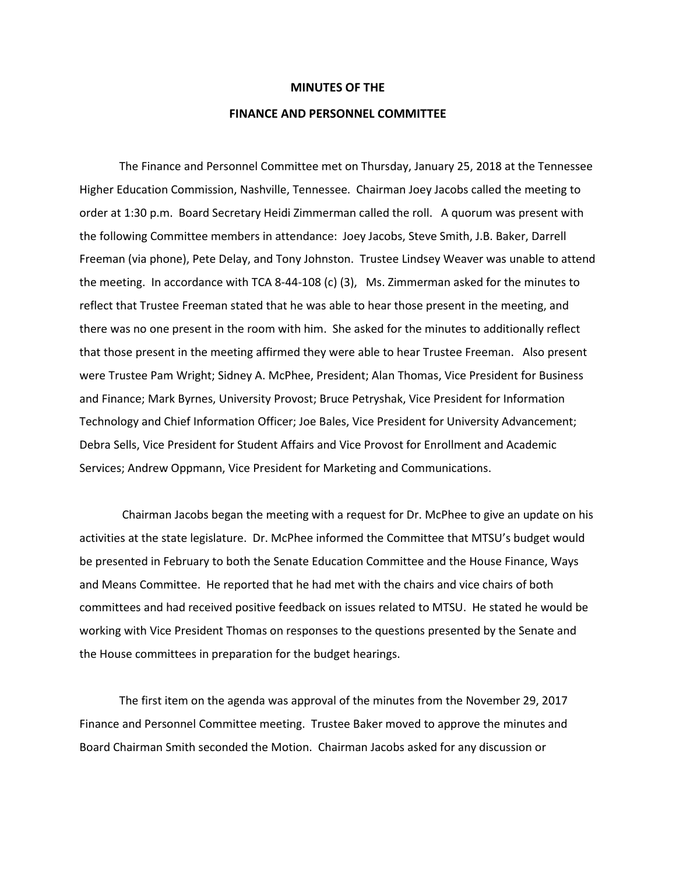## **MINUTES OF THE**

## **FINANCE AND PERSONNEL COMMITTEE**

The Finance and Personnel Committee met on Thursday, January 25, 2018 at the Tennessee Higher Education Commission, Nashville, Tennessee. Chairman Joey Jacobs called the meeting to order at 1:30 p.m. Board Secretary Heidi Zimmerman called the roll. A quorum was present with the following Committee members in attendance: Joey Jacobs, Steve Smith, J.B. Baker, Darrell Freeman (via phone), Pete Delay, and Tony Johnston. Trustee Lindsey Weaver was unable to attend the meeting. In accordance with TCA 8-44-108 (c) (3), Ms. Zimmerman asked for the minutes to reflect that Trustee Freeman stated that he was able to hear those present in the meeting, and there was no one present in the room with him. She asked for the minutes to additionally reflect that those present in the meeting affirmed they were able to hear Trustee Freeman. Also present were Trustee Pam Wright; Sidney A. McPhee, President; Alan Thomas, Vice President for Business and Finance; Mark Byrnes, University Provost; Bruce Petryshak, Vice President for Information Technology and Chief Information Officer; Joe Bales, Vice President for University Advancement; Debra Sells, Vice President for Student Affairs and Vice Provost for Enrollment and Academic Services; Andrew Oppmann, Vice President for Marketing and Communications.

Chairman Jacobs began the meeting with a request for Dr. McPhee to give an update on his activities at the state legislature. Dr. McPhee informed the Committee that MTSU's budget would be presented in February to both the Senate Education Committee and the House Finance, Ways and Means Committee. He reported that he had met with the chairs and vice chairs of both committees and had received positive feedback on issues related to MTSU. He stated he would be working with Vice President Thomas on responses to the questions presented by the Senate and the House committees in preparation for the budget hearings.

The first item on the agenda was approval of the minutes from the November 29, 2017 Finance and Personnel Committee meeting. Trustee Baker moved to approve the minutes and Board Chairman Smith seconded the Motion. Chairman Jacobs asked for any discussion or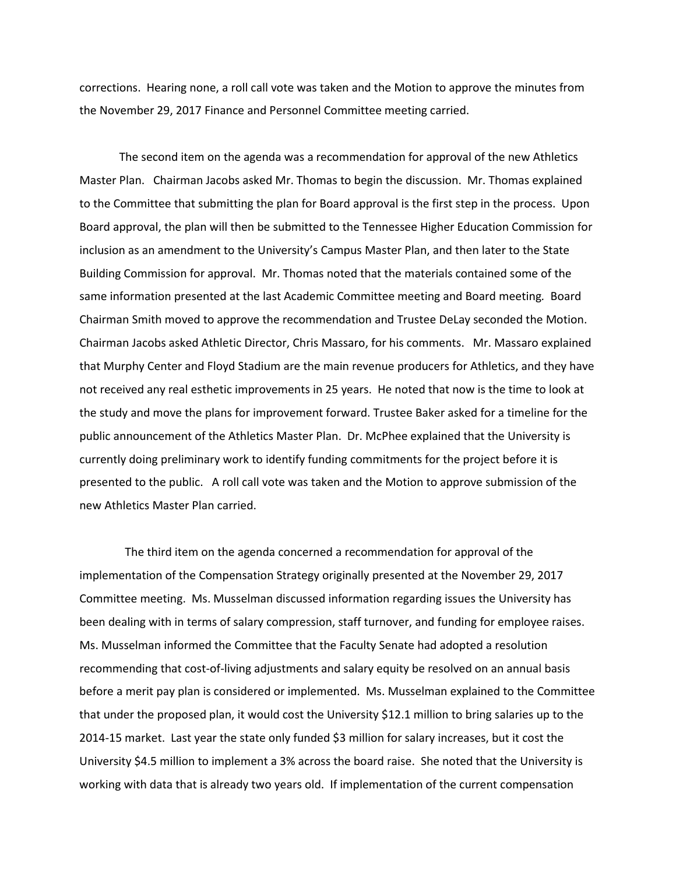corrections. Hearing none, a roll call vote was taken and the Motion to approve the minutes from the November 29, 2017 Finance and Personnel Committee meeting carried.

The second item on the agenda was a recommendation for approval of the new Athletics Master Plan. Chairman Jacobs asked Mr. Thomas to begin the discussion. Mr. Thomas explained to the Committee that submitting the plan for Board approval is the first step in the process. Upon Board approval, the plan will then be submitted to the Tennessee Higher Education Commission for inclusion as an amendment to the University's Campus Master Plan, and then later to the State Building Commission for approval. Mr. Thomas noted that the materials contained some of the same information presented at the last Academic Committee meeting and Board meeting*.* Board Chairman Smith moved to approve the recommendation and Trustee DeLay seconded the Motion. Chairman Jacobs asked Athletic Director, Chris Massaro, for his comments. Mr. Massaro explained that Murphy Center and Floyd Stadium are the main revenue producers for Athletics, and they have not received any real esthetic improvements in 25 years. He noted that now is the time to look at the study and move the plans for improvement forward. Trustee Baker asked for a timeline for the public announcement of the Athletics Master Plan. Dr. McPhee explained that the University is currently doing preliminary work to identify funding commitments for the project before it is presented to the public. A roll call vote was taken and the Motion to approve submission of the new Athletics Master Plan carried.

The third item on the agenda concerned a recommendation for approval of the implementation of the Compensation Strategy originally presented at the November 29, 2017 Committee meeting. Ms. Musselman discussed information regarding issues the University has been dealing with in terms of salary compression, staff turnover, and funding for employee raises. Ms. Musselman informed the Committee that the Faculty Senate had adopted a resolution recommending that cost-of-living adjustments and salary equity be resolved on an annual basis before a merit pay plan is considered or implemented. Ms. Musselman explained to the Committee that under the proposed plan, it would cost the University \$12.1 million to bring salaries up to the 2014-15 market. Last year the state only funded \$3 million for salary increases, but it cost the University \$4.5 million to implement a 3% across the board raise. She noted that the University is working with data that is already two years old. If implementation of the current compensation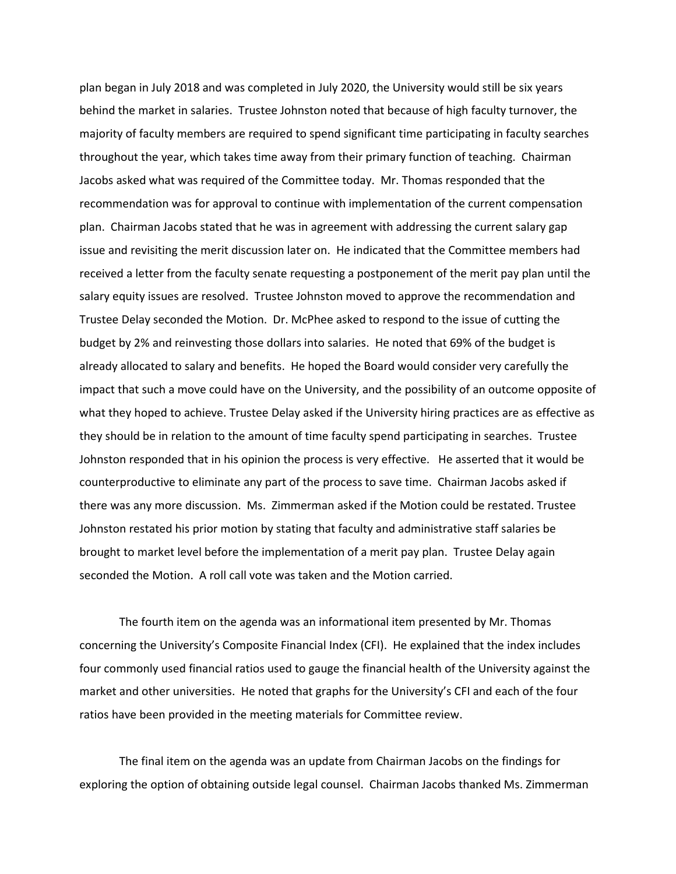plan began in July 2018 and was completed in July 2020, the University would still be six years behind the market in salaries. Trustee Johnston noted that because of high faculty turnover, the majority of faculty members are required to spend significant time participating in faculty searches throughout the year, which takes time away from their primary function of teaching. Chairman Jacobs asked what was required of the Committee today. Mr. Thomas responded that the recommendation was for approval to continue with implementation of the current compensation plan. Chairman Jacobs stated that he was in agreement with addressing the current salary gap issue and revisiting the merit discussion later on. He indicated that the Committee members had received a letter from the faculty senate requesting a postponement of the merit pay plan until the salary equity issues are resolved. Trustee Johnston moved to approve the recommendation and Trustee Delay seconded the Motion. Dr. McPhee asked to respond to the issue of cutting the budget by 2% and reinvesting those dollars into salaries. He noted that 69% of the budget is already allocated to salary and benefits. He hoped the Board would consider very carefully the impact that such a move could have on the University, and the possibility of an outcome opposite of what they hoped to achieve. Trustee Delay asked if the University hiring practices are as effective as they should be in relation to the amount of time faculty spend participating in searches. Trustee Johnston responded that in his opinion the process is very effective. He asserted that it would be counterproductive to eliminate any part of the process to save time. Chairman Jacobs asked if there was any more discussion. Ms. Zimmerman asked if the Motion could be restated. Trustee Johnston restated his prior motion by stating that faculty and administrative staff salaries be brought to market level before the implementation of a merit pay plan. Trustee Delay again seconded the Motion. A roll call vote was taken and the Motion carried.

The fourth item on the agenda was an informational item presented by Mr. Thomas concerning the University's Composite Financial Index (CFI). He explained that the index includes four commonly used financial ratios used to gauge the financial health of the University against the market and other universities. He noted that graphs for the University's CFI and each of the four ratios have been provided in the meeting materials for Committee review.

The final item on the agenda was an update from Chairman Jacobs on the findings for exploring the option of obtaining outside legal counsel. Chairman Jacobs thanked Ms. Zimmerman